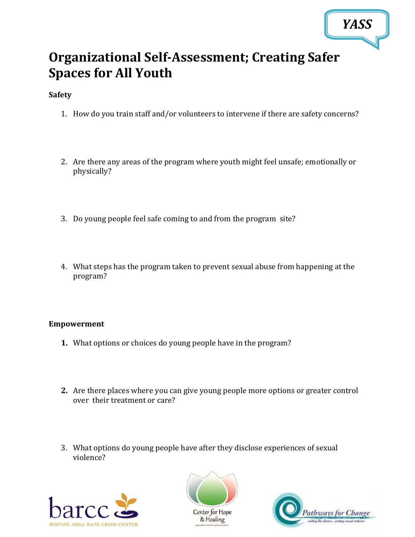# **Organizational Self-Assessment; Creating Safer Spaces for All Youth**

# **Safety**

- 1. How do you train staff and/or volunteers to intervene if there are safety concerns?
- 2. Are there any areas of the program where youth might feel unsafe; emotionally or physically?
- 3. Do young people feel safe coming to and from the program site?
- 4. What steps has the program taken to prevent sexual abuse from happening at the program?

## **Empowerment**

- **1.** What options or choices do young people have in the program?
- **2.** Are there places where you can give young people more options or greater control over their treatment or care?
- 3. What options do young people have after they disclose experiences of sexual violence?